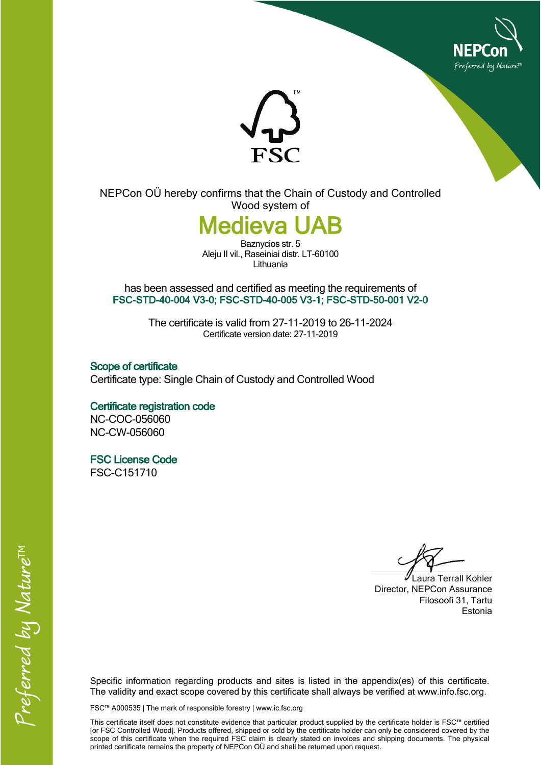



NEPCon OÜ hereby confirms that the Chain of Custody and Controlled Wood system of

## *Medieva I*

Baznycios str. 5 Aleju II vil., Raseiniai distr. LT-60100 Lithuania

has been assessed and certified as meeting the requirements of **FSC-STD-40-004 V3-0; FSC-STD-40-005 V3-1; FSC-STD-50-001 V2-0**

> The certificate is valid from 27-11-2019 to 26-11-2024 Certificate version date: 27-11-2019

**Scope of certificate** Certificate type: Single Chain of Custody and Controlled Wood

**Certificate registration code** NC-COC-056060 NC-CW-056060

**FSC License Code** FSC-C151710

Laura Terrall Kohler Director, NEPCon Assurance Filosoofi 31, Tartu Estonia

Specific information regarding products and sites is listed in the appendix(es) of this certificate. The validity and exact scope covered by this certificate shall always be verified at www.info.fsc.org.

FSC™ A000535 | The mark of responsible forestry | www.ic.fsc.org

This certificate itself does not constitute evidence that particular product supplied by the certificate holder is FSC™ certified [or FSC Controlled Wood]. Products offered, shipped or sold by the certificate holder can only be considered covered by the scope of this certificate when the required FSC claim is clearly stated on invoices and shipping documents. The physical printed certificate remains the property of NEPCon OÜ and shall be returned upon request.